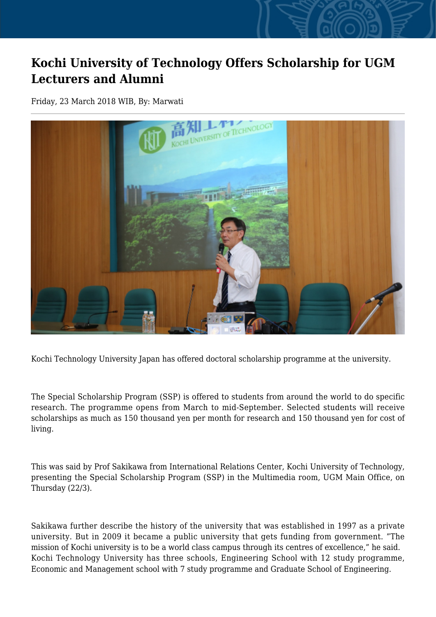## **Kochi University of Technology Offers Scholarship for UGM Lecturers and Alumni**

Friday, 23 March 2018 WIB, By: Marwati



Kochi Technology University Japan has offered doctoral scholarship programme at the university.

The Special Scholarship Program (SSP) is offered to students from around the world to do specific research. The programme opens from March to mid-September. Selected students will receive scholarships as much as 150 thousand yen per month for research and 150 thousand yen for cost of living.

This was said by Prof Sakikawa from International Relations Center, Kochi University of Technology, presenting the Special Scholarship Program (SSP) in the Multimedia room, UGM Main Office, on Thursday (22/3).

Sakikawa further describe the history of the university that was established in 1997 as a private university. But in 2009 it became a public university that gets funding from government. "The mission of Kochi university is to be a world class campus through its centres of excellence," he said. Kochi Technology University has three schools, Engineering School with 12 study programme, Economic and Management school with 7 study programme and Graduate School of Engineering.